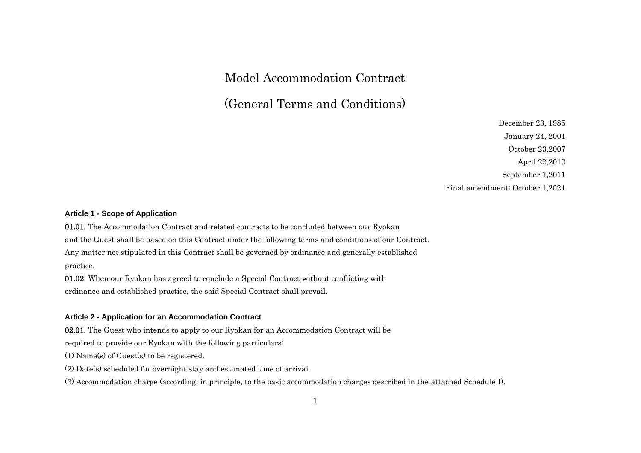# Model Accommodation Contract

(General Terms and Conditions)

December 23, 1985 January 24, 2001 October 23,2007 April 22,2010 September 1,2011 Final amendment: October 1,2021

## **Article 1 - Scope of Application**

01.01. The Accommodation Contract and related contracts to be concluded between our Ryokan and the Guest shall be based on this Contract under the following terms and conditions of our Contract. Any matter not stipulated in this Contract shall be governed by ordinance and generally established practice.

01.02. When our Ryokan has agreed to conclude a Special Contract without conflicting with ordinance and established practice, the said Special Contract shall prevail.

#### **Article 2 - Application for an Accommodation Contract**

02.01. The Guest who intends to apply to our Ryokan for an Accommodation Contract will be

required to provide our Ryokan with the following particulars:

(1) Name(s) of Guest(s) to be registered.

(2) Date(s) scheduled for overnight stay and estimated time of arrival.

(3) Accommodation charge (according, in principle, to the basic accommodation charges described in the attached Schedule I).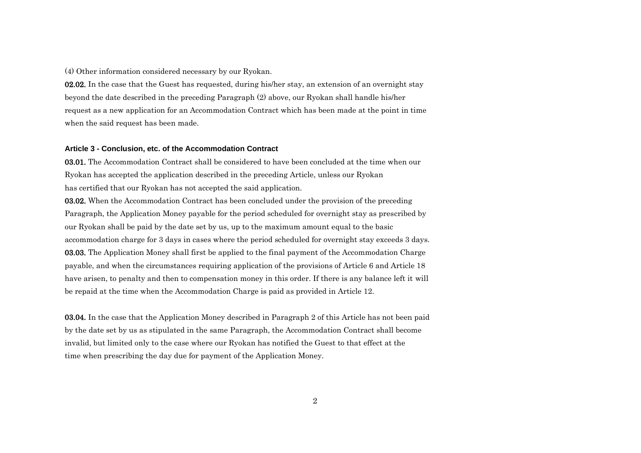(4) Other information considered necessary by our Ryokan.

02.02. In the case that the Guest has requested, during his/her stay, an extension of an overnight stay beyond the date described in the preceding Paragraph (2) above, our Ryokan shall handle his/her request as a new application for an Accommodation Contract which has been made at the point in time when the said request has been made.

#### **Article 3 - Conclusion, etc. of the Accommodation Contract**

03.01. The Accommodation Contract shall be considered to have been concluded at the time when our Ryokan has accepted the application described in the preceding Article, unless our Ryokan has certified that our Ryokan has not accepted the said application.

03.02. When the Accommodation Contract has been concluded under the provision of the preceding Paragraph, the Application Money payable for the period scheduled for overnight stay as prescribed by our Ryokan shall be paid by the date set by us, up to the maximum amount equal to the basic accommodation charge for 3 days in cases where the period scheduled for overnight stay exceeds 3 days. 03.03. The Application Money shall first be applied to the final payment of the Accommodation Charge payable, and when the circumstances requiring application of the provisions of Article 6 and Article 18 have arisen, to penalty and then to compensation money in this order. If there is any balance left it will be repaid at the time when the Accommodation Charge is paid as provided in Article 12.

03.04. In the case that the Application Money described in Paragraph 2 of this Article has not been paid by the date set by us as stipulated in the same Paragraph, the Accommodation Contract shall become invalid, but limited only to the case where our Ryokan has notified the Guest to that effect at the time when prescribing the day due for payment of the Application Money.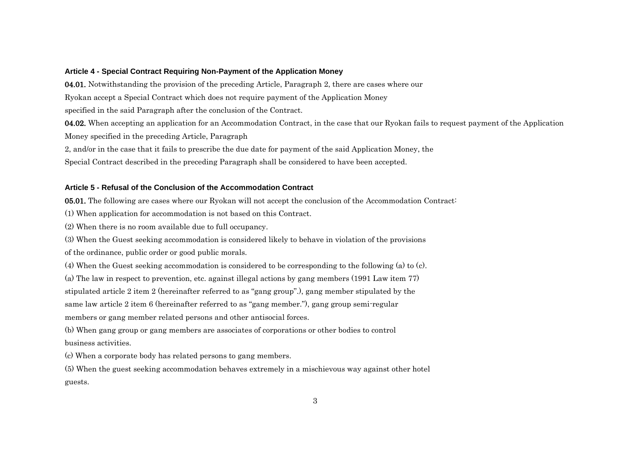## **Article 4 - Special Contract Requiring Non-Payment of the Application Money**

04.01. Notwithstanding the provision of the preceding Article, Paragraph 2, there are cases where our Ryokan accept a Special Contract which does not require payment of the Application Money specified in the said Paragraph after the conclusion of the Contract.

04.02. When accepting an application for an Accommodation Contract, in the case that our Ryokan fails to request payment of the Application Money specified in the preceding Article, Paragraph

2, and/or in the case that it fails to prescribe the due date for payment of the said Application Money, the

Special Contract described in the preceding Paragraph shall be considered to have been accepted.

## **Article 5 - Refusal of the Conclusion of the Accommodation Contract**

05.01. The following are cases where our Ryokan will not accept the conclusion of the Accommodation Contract:

(1) When application for accommodation is not based on this Contract.

(2) When there is no room available due to full occupancy.

(3) When the Guest seeking accommodation is considered likely to behave in violation of the provisions

of the ordinance, public order or good public morals.

(4) When the Guest seeking accommodation is considered to be corresponding to the following (a) to (c).

(a) The law in respect to prevention, etc. against illegal actions by gang members (1991 Law item 77)

stipulated article 2 item 2 (hereinafter referred to as "gang group".), gang member stipulated by the

same law article 2 item 6 (hereinafter referred to as "gang member."), gang group semi-regular

members or gang member related persons and other antisocial forces.

(b) When gang group or gang members are associates of corporations or other bodies to control business activities.

(c) When a corporate body has related persons to gang members.

(5) When the guest seeking accommodation behaves extremely in a mischievous way against other hotel guests.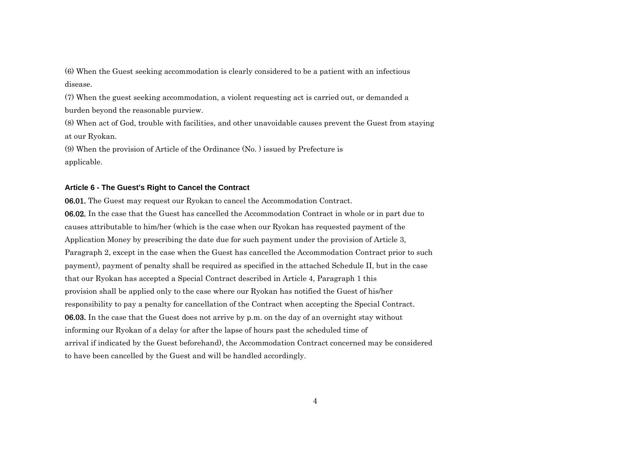(6) When the Guest seeking accommodation is clearly considered to be a patient with an infectious disease.

(7) When the guest seeking accommodation, a violent requesting act is carried out, or demanded a burden beyond the reasonable purview.

(8) When act of God, trouble with facilities, and other unavoidable causes prevent the Guest from staying at our Ryokan.

(9) When the provision of Article of the Ordinance (No. ) issued by Prefecture is applicable.

## **Article 6 - The Guest's Right to Cancel the Contract**

06.01. The Guest may request our Ryokan to cancel the Accommodation Contract. 06.02. In the case that the Guest has cancelled the Accommodation Contract in whole or in part due to causes attributable to him/her (which is the case when our Ryokan has requested payment of the Application Money by prescribing the date due for such payment under the provision of Article 3, Paragraph 2, except in the case when the Guest has cancelled the Accommodation Contract prior to such payment), payment of penalty shall be required as specified in the attached Schedule II, but in the case that our Ryokan has accepted a Special Contract described in Article 4, Paragraph 1 this provision shall be applied only to the case where our Ryokan has notified the Guest of his/her responsibility to pay a penalty for cancellation of the Contract when accepting the Special Contract. 06.03. In the case that the Guest does not arrive by p.m. on the day of an overnight stay without informing our Ryokan of a delay (or after the lapse of hours past the scheduled time of arrival if indicated by the Guest beforehand), the Accommodation Contract concerned may be considered to have been cancelled by the Guest and will be handled accordingly.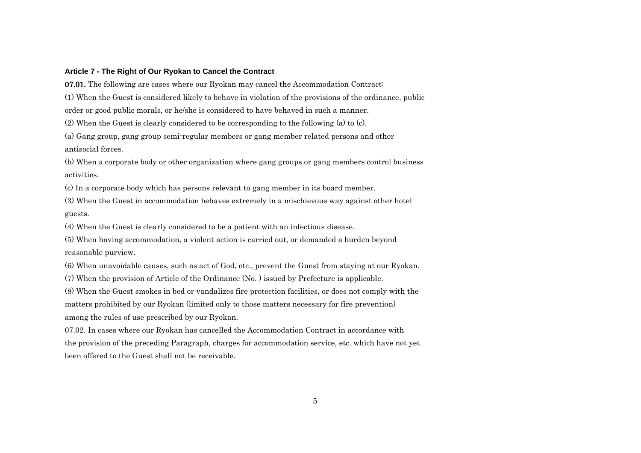## **Article 7 - The Right of Our Ryokan to Cancel the Contract**

07.01. The following are cases where our Ryokan may cancel the Accommodation Contract: (1) When the Guest is considered likely to behave in violation of the provisions of the ordinance, public order or good public morals, or he/she is considered to have behaved in such a manner. (2) When the Guest is clearly considered to be corresponding to the following (a) to (c).

(a) Gang group, gang group semi-regular members or gang member related persons and other antisocial forces.

(b) When a corporate body or other organization where gang groups or gang members control business activities.

(c) In a corporate body which has persons relevant to gang member in its board member.

(3) When the Guest in accommodation behaves extremely in a mischievous way against other hotel guests.

(4) When the Guest is clearly considered to be a patient with an infectious disease.

(5) When having accommodation, a violent action is carried out, or demanded a burden beyond reasonable purview.

(6) When unavoidable causes, such as act of God, etc., prevent the Guest from staying at our Ryokan.

(7) When the provision of Article of the Ordinance (No. ) issued by Prefecture is applicable.

(8) When the Guest smokes in bed or vandalizes fire protection facilities, or does not comply with the matters prohibited by our Ryokan (limited only to those matters necessary for fire prevention) among the rules of use prescribed by our Ryokan.

07.02. In cases where our Ryokan has cancelled the Accommodation Contract in accordance with the provision of the preceding Paragraph, charges for accommodation service, etc. which have not yet been offered to the Guest shall not be receivable.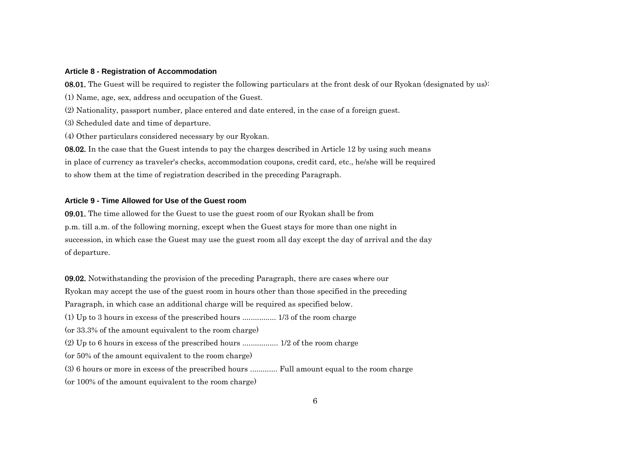## **Article 8 - Registration of Accommodation**

08.01. The Guest will be required to register the following particulars at the front desk of our Ryokan (designated by us):

(1) Name, age, sex, address and occupation of the Guest.

(2) Nationality, passport number, place entered and date entered, in the case of a foreign guest.

(3) Scheduled date and time of departure.

(4) Other particulars considered necessary by our Ryokan.

08.02. In the case that the Guest intends to pay the charges described in Article 12 by using such means in place of currency as traveler's checks, accommodation coupons, credit card, etc., he/she will be required to show them at the time of registration described in the preceding Paragraph.

## **Article 9 - Time Allowed for Use of the Guest room**

09.01. The time allowed for the Guest to use the guest room of our Ryokan shall be from p.m. till a.m. of the following morning, except when the Guest stays for more than one night in succession, in which case the Guest may use the guest room all day except the day of arrival and the day of departure.

09.02. Notwithstanding the provision of the preceding Paragraph, there are cases where our Ryokan may accept the use of the guest room in hours other than those specified in the preceding Paragraph, in which case an additional charge will be required as specified below. (1) Up to 3 hours in excess of the prescribed hours ................ 1/3 of the room charge (or 33.3% of the amount equivalent to the room charge) (2) Up to 6 hours in excess of the prescribed hours ................. 1/2 of the room charge (or 50% of the amount equivalent to the room charge) (3) 6 hours or more in excess of the prescribed hours ............. Full amount equal to the room charge (or 100% of the amount equivalent to the room charge)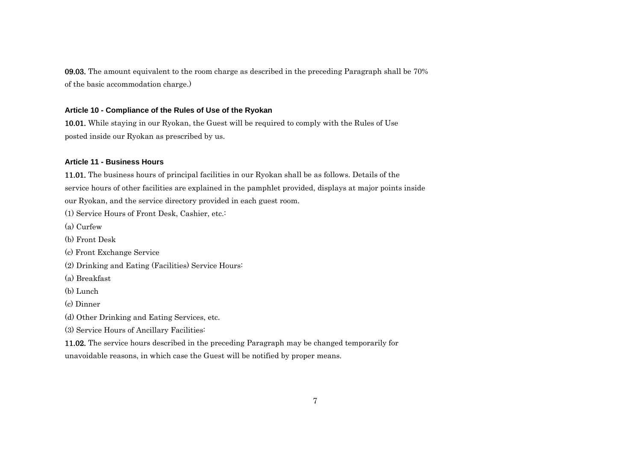09.03. The amount equivalent to the room charge as described in the preceding Paragraph shall be 70% of the basic accommodation charge.)

## **Article 10 - Compliance of the Rules of Use of the Ryokan**

10.01. While staying in our Ryokan, the Guest will be required to comply with the Rules of Use posted inside our Ryokan as prescribed by us.

## **Article 11 - Business Hours**

11.01. The business hours of principal facilities in our Ryokan shall be as follows. Details of the service hours of other facilities are explained in the pamphlet provided, displays at major points inside our Ryokan, and the service directory provided in each guest room. (1) Service Hours of Front Desk, Cashier, etc.: (a) Curfew (b) Front Desk (c) Front Exchange Service

(2) Drinking and Eating (Facilities) Service Hours:

(a) Breakfast

(b) Lunch

(c) Dinner

(d) Other Drinking and Eating Services, etc.

(3) Service Hours of Ancillary Facilities:

11.02. The service hours described in the preceding Paragraph may be changed temporarily for unavoidable reasons, in which case the Guest will be notified by proper means.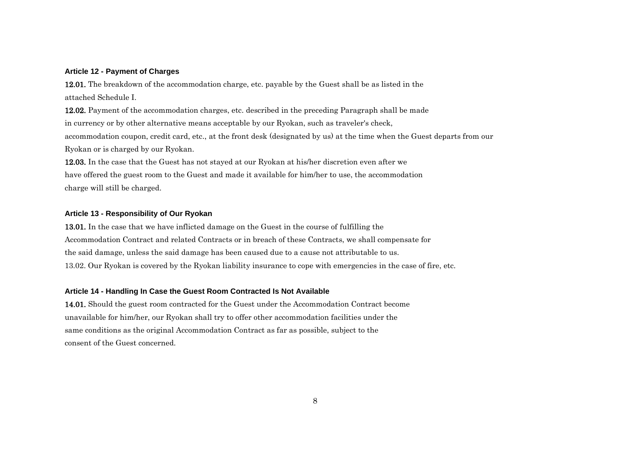## **Article 12 - Payment of Charges**

12.01. The breakdown of the accommodation charge, etc. payable by the Guest shall be as listed in the attached Schedule I.

12.02. Payment of the accommodation charges, etc. described in the preceding Paragraph shall be made in currency or by other alternative means acceptable by our Ryokan, such as traveler's check, accommodation coupon, credit card, etc., at the front desk (designated by us) at the time when the Guest departs from our Ryokan or is charged by our Ryokan.

12.03. In the case that the Guest has not stayed at our Ryokan at his/her discretion even after we have offered the guest room to the Guest and made it available for him/her to use, the accommodation charge will still be charged.

## **Article 13 - Responsibility of Our Ryokan**

13.01. In the case that we have inflicted damage on the Guest in the course of fulfilling the Accommodation Contract and related Contracts or in breach of these Contracts, we shall compensate for the said damage, unless the said damage has been caused due to a cause not attributable to us. 13.02. Our Ryokan is covered by the Ryokan liability insurance to cope with emergencies in the case of fire, etc.

## **Article 14 - Handling In Case the Guest Room Contracted Is Not Available**

14.01. Should the guest room contracted for the Guest under the Accommodation Contract become unavailable for him/her, our Ryokan shall try to offer other accommodation facilities under the same conditions as the original Accommodation Contract as far as possible, subject to the consent of the Guest concerned.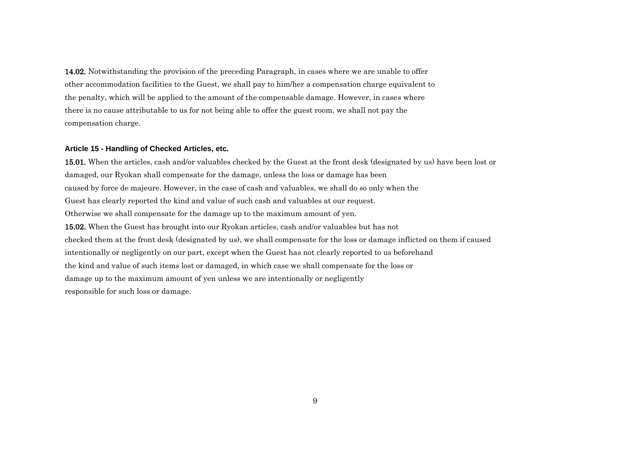14.02. Notwithstanding the provision of the preceding Paragraph, in cases where we are unable to offer other accommodation facilities to the Guest, we shall pay to him/her a compensation charge equivalent to the penalty, which will be applied to the amount of the compensable damage. However, in cases where there is no cause attributable to us for not being able to offer the guest room, we shall not pay the compensation charge.

## **Article 15 - Handling of Checked Articles, etc.**

15.01. When the articles, cash and/or valuables checked by the Guest at the front desk (designated by us) have been lost or damaged, our Ryokan shall compensate for the damage, unless the loss or damage has been caused by force de majeure. However, in the case of cash and valuables, we shall do so only when the Guest has clearly reported the kind and value of such cash and valuables at our request. Otherwise we shall compensate for the damage up to the maximum amount of yen. 15.02. When the Guest has brought into our Ryokan articles, cash and/or valuables but has not checked them at the front desk (designated by us), we shall compensate for the loss or damage inflicted on them if caused intentionally or negligently on our part, except when the Guest has not clearly reported to us beforehand the kind and value of such items lost or damaged, in which case we shall compensate for the loss or damage up to the maximum amount of yen unless we are intentionally or negligently responsible for such loss or damage.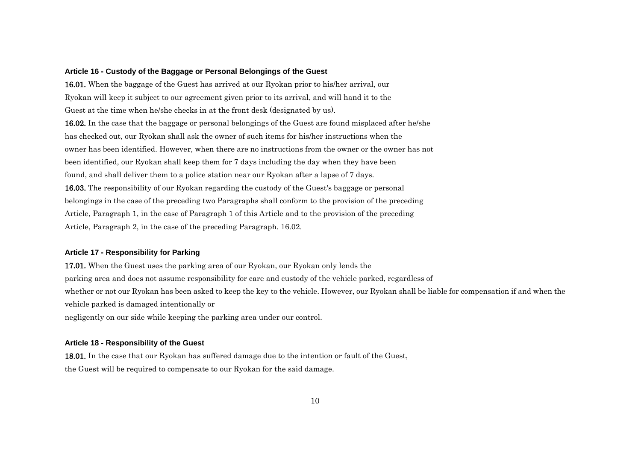#### **Article 16 - Custody of the Baggage or Personal Belongings of the Guest**

16.01. When the baggage of the Guest has arrived at our Ryokan prior to his/her arrival, our Ryokan will keep it subject to our agreement given prior to its arrival, and will hand it to the Guest at the time when he/she checks in at the front desk (designated by us). 16.02. In the case that the baggage or personal belongings of the Guest are found misplaced after he/she has checked out, our Ryokan shall ask the owner of such items for his/her instructions when the owner has been identified. However, when there are no instructions from the owner or the owner has not been identified, our Ryokan shall keep them for 7 days including the day when they have been found, and shall deliver them to a police station near our Ryokan after a lapse of 7 days. 16.03. The responsibility of our Ryokan regarding the custody of the Guest's baggage or personal belongings in the case of the preceding two Paragraphs shall conform to the provision of the preceding Article, Paragraph 1, in the case of Paragraph 1 of this Article and to the provision of the preceding Article, Paragraph 2, in the case of the preceding Paragraph. 16.02.

## **Article 17 - Responsibility for Parking**

17.01. When the Guest uses the parking area of our Ryokan, our Ryokan only lends the parking area and does not assume responsibility for care and custody of the vehicle parked, regardless of whether or not our Ryokan has been asked to keep the key to the vehicle. However, our Ryokan shall be liable for compensation if and when the vehicle parked is damaged intentionally or

negligently on our side while keeping the parking area under our control.

## **Article 18 - Responsibility of the Guest**

18.01. In the case that our Ryokan has suffered damage due to the intention or fault of the Guest, the Guest will be required to compensate to our Ryokan for the said damage.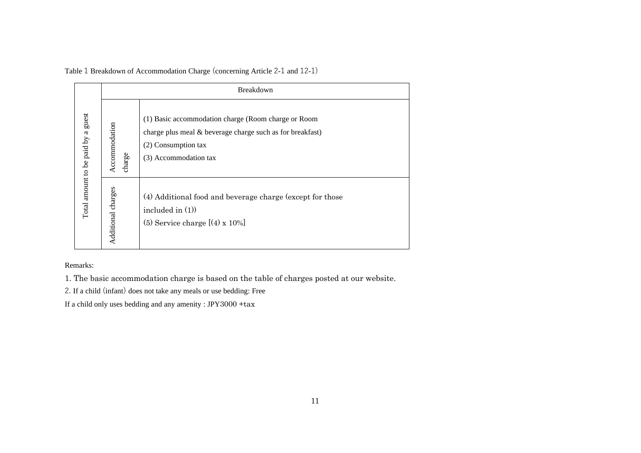|                                    | Breakdown               |                                                                                                                                                                  |  |  |  |
|------------------------------------|-------------------------|------------------------------------------------------------------------------------------------------------------------------------------------------------------|--|--|--|
| Total amount to be paid by a guest | Accommodation<br>charge | (1) Basic accommodation charge (Room charge or Room<br>charge plus meal & beverage charge such as for breakfast)<br>(2) Consumption tax<br>(3) Accommodation tax |  |  |  |
|                                    | Additional charges      | (4) Additional food and beverage charge (except for those<br>included in $(1)$ )<br>(5) Service charge $[(4) \times 10\%]$                                       |  |  |  |
| Remarks:                           |                         |                                                                                                                                                                  |  |  |  |
|                                    |                         | 1. The basic accommodation charge is based on the table of charges posted at our website.<br>2. If a child (infant) does not take any meals or use bedding: Free |  |  |  |
|                                    |                         | If a child only uses bedding and any amenity: JPY3000 +tax                                                                                                       |  |  |  |

Table 1 Breakdown of Accommodation Charge (concerning Article 2-1 and 12-1)

Remarks: